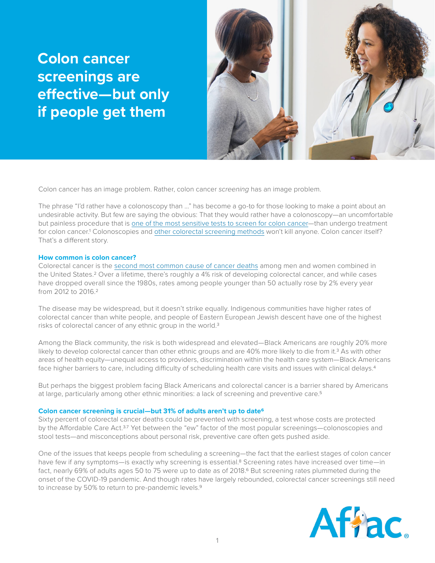# **Colon cancer screenings are effective—but only if people get them**



Colon cancer has an image problem. Rather, colon cancer *screening* has an image problem.

The phrase "I'd rather have a colonoscopy than …" has become a go-to for those looking to make a point about an undesirable activity. But few are saying the obvious: That they would rather have a colonoscopy—an uncomfortable but painless procedure that is [one of the most sensitive tests to screen for colon cancer—](https://www.mayoclinic.org/diseases-conditions/colon-cancer/in-depth/colon-cancer-screening/art-20046825)than undergo treatment for colon cancer.1 Colonoscopies and [other colorectal screening methods](https://fightcolorectalcancer.org/about-colorectal-cancer/screening/) won't kill anyone. Colon cancer itself? That's a different story.

### **How common is colon cancer?**

Colorectal cancer is the [second most common cause of cancer deaths](https://www.cancer.org/cancer/colon-rectal-cancer/about/key-statistics.html) among men and women combined in the United States.2 Over a lifetime, there's roughly a 4% risk of developing colorectal cancer, and while cases have dropped overall since the 1980s, rates among people younger than 50 actually rose by 2% every year from 2012 to 2016.2

The disease may be widespread, but it doesn't strike equally. Indigenous communities have higher rates of colorectal cancer than white people, and people of Eastern European Jewish descent have one of the highest risks of colorectal cancer of any ethnic group in the world.<sup>3</sup>

Among the Black community, the risk is both widespread and elevated—Black Americans are roughly 20% more likely to develop colorectal cancer than other ethnic groups and are 40% more likely to die from it.<sup>3</sup> As with other areas of health equity—unequal access to providers, discrimination within the health care system—Black Americans face higher barriers to care, including difficulty of scheduling health care visits and issues with clinical delays.<sup>4</sup>

But perhaps the biggest problem facing Black Americans and colorectal cancer is a barrier shared by Americans at large, particularly among other ethnic minorities: a lack of screening and preventive care.5

#### **Colon cancer screening is crucial—but 31% of adults aren't up to date6**

Sixty percent of colorectal cancer deaths could be prevented with screening, a test whose costs are protected by the Affordable Care Act.<sup>3,7</sup> Yet between the "ew" factor of the most popular screenings—colonoscopies and stool tests—and misconceptions about personal risk, preventive care often gets pushed aside.

One of the issues that keeps people from scheduling a screening—the fact that the earliest stages of colon cancer have few if any symptoms—is exactly why screening is essential.<sup>8</sup> Screening rates have increased over time—in fact, nearly 69% of adults ages 50 to 75 were up to date as of 2018.<sup>6</sup> But screening rates plummeted during the onset of the COVID-19 pandemic. And though rates have largely rebounded, colorectal cancer screenings still need to increase by 50% to return to pre-pandemic levels.<sup>9</sup>